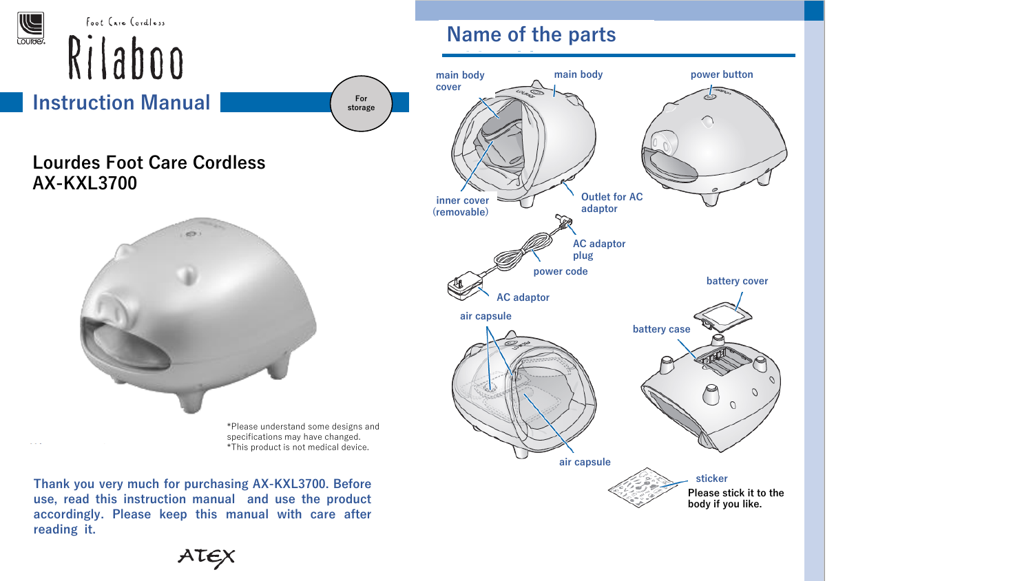

ATEX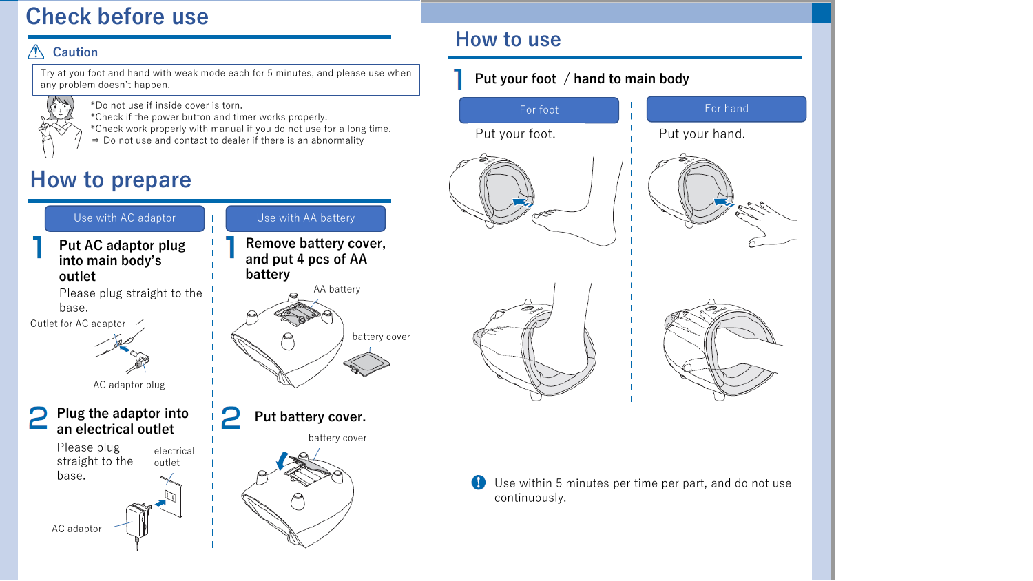## **Check before use**

#### **Caution**

Try at you foot and hand with weak mode each for 5 minutes, and please use when any problem doesn't happen.



\*Do not use if inside cover is torn. \*Check if the power button and timer works properly.

\*Check work properly with manual if you do not use for a long time.

⇒ Do not use and contact to dealer if there is an abnormality

# **How to prepare**